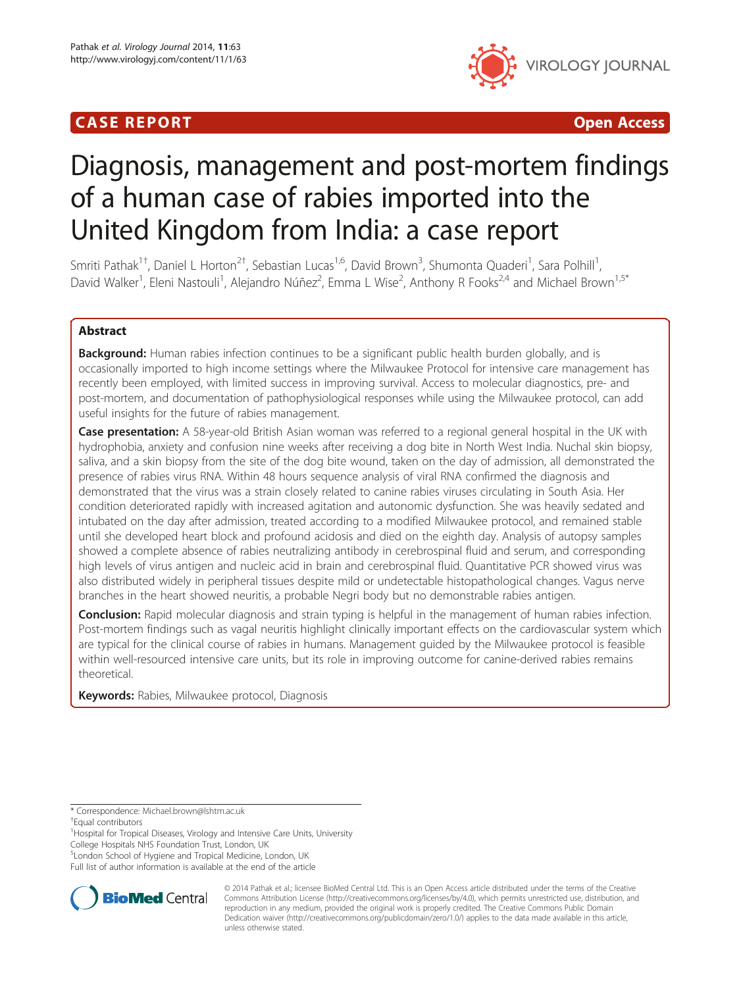## **CASE REPORT CASE ACCESS**



# Diagnosis, management and post-mortem findings of a human case of rabies imported into the United Kingdom from India: a case report

Smriti Pathak<sup>1†</sup>, Daniel L Horton<sup>2†</sup>, Sebastian Lucas<sup>1,6</sup>, David Brown<sup>3</sup>, Shumonta Quaderi<sup>1</sup>, Sara Polhill<sup>1</sup> , David Walker<sup>1</sup>, Eleni Nastouli<sup>1</sup>, Alejandro Núñez<sup>2</sup>, Emma L Wise<sup>2</sup>, Anthony R Fooks<sup>2,4</sup> and Michael Brown<sup>1,5\*</sup>

## Abstract

Background: Human rabies infection continues to be a significant public health burden globally, and is occasionally imported to high income settings where the Milwaukee Protocol for intensive care management has recently been employed, with limited success in improving survival. Access to molecular diagnostics, pre- and post-mortem, and documentation of pathophysiological responses while using the Milwaukee protocol, can add useful insights for the future of rabies management.

Case presentation: A 58-year-old British Asian woman was referred to a regional general hospital in the UK with hydrophobia, anxiety and confusion nine weeks after receiving a dog bite in North West India. Nuchal skin biopsy, saliva, and a skin biopsy from the site of the dog bite wound, taken on the day of admission, all demonstrated the presence of rabies virus RNA. Within 48 hours sequence analysis of viral RNA confirmed the diagnosis and demonstrated that the virus was a strain closely related to canine rabies viruses circulating in South Asia. Her condition deteriorated rapidly with increased agitation and autonomic dysfunction. She was heavily sedated and intubated on the day after admission, treated according to a modified Milwaukee protocol, and remained stable until she developed heart block and profound acidosis and died on the eighth day. Analysis of autopsy samples showed a complete absence of rabies neutralizing antibody in cerebrospinal fluid and serum, and corresponding high levels of virus antigen and nucleic acid in brain and cerebrospinal fluid. Quantitative PCR showed virus was also distributed widely in peripheral tissues despite mild or undetectable histopathological changes. Vagus nerve branches in the heart showed neuritis, a probable Negri body but no demonstrable rabies antigen.

**Conclusion:** Rapid molecular diagnosis and strain typing is helpful in the management of human rabies infection. Post-mortem findings such as vagal neuritis highlight clinically important effects on the cardiovascular system which are typical for the clinical course of rabies in humans. Management guided by the Milwaukee protocol is feasible within well-resourced intensive care units, but its role in improving outcome for canine-derived rabies remains theoretical.

**Keywords:** Rabies, Milwaukee protocol, Diagnosis

Full list of author information is available at the end of the article



© 2014 Pathak et al.; licensee BioMed Central Ltd. This is an Open Access article distributed under the terms of the Creative Commons Attribution License [\(http://creativecommons.org/licenses/by/4.0\)](http://creativecommons.org/licenses/by/4.0), which permits unrestricted use, distribution, and reproduction in any medium, provided the original work is properly credited. The Creative Commons Public Domain Dedication waiver [\(http://creativecommons.org/publicdomain/zero/1.0/](http://creativecommons.org/publicdomain/zero/1.0/)) applies to the data made available in this article, unless otherwise stated.

<sup>\*</sup> Correspondence: [Michael.brown@lshtm.ac.uk](mailto:Michael.brown@lshtm.ac.uk) †

Equal contributors

<sup>&</sup>lt;sup>1</sup> Hospital for Tropical Diseases, Virology and Intensive Care Units, University

College Hospitals NHS Foundation Trust, London, UK 5 London School of Hygiene and Tropical Medicine, London, UK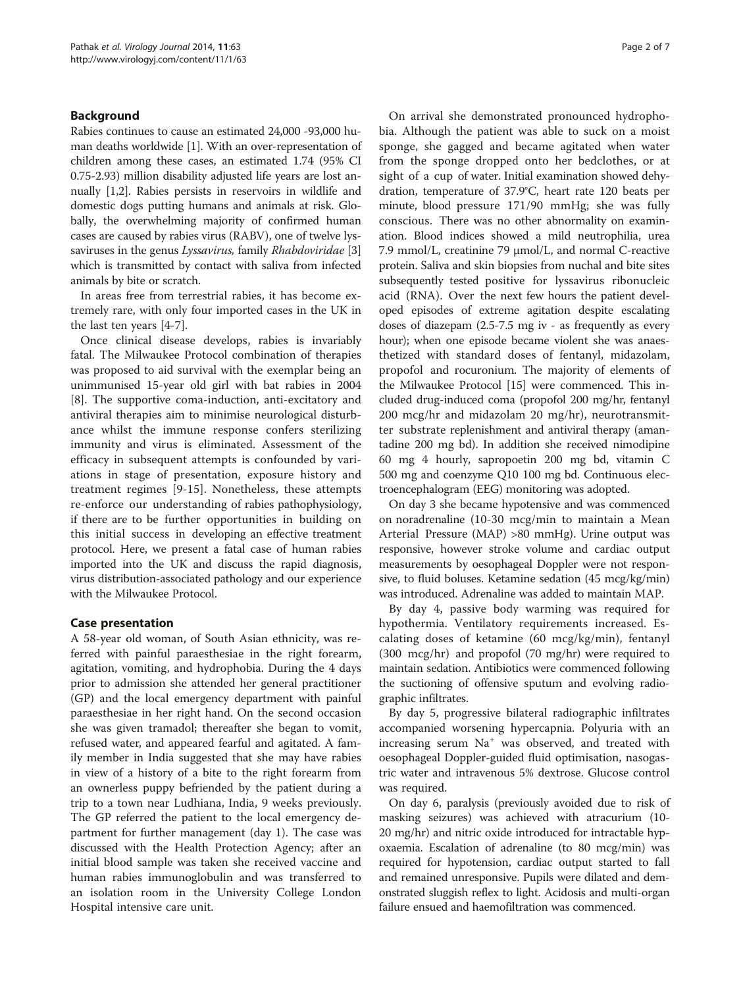## Background

Rabies continues to cause an estimated 24,000 -93,000 human deaths worldwide [\[1](#page-5-0)]. With an over-representation of children among these cases, an estimated 1.74 (95% CI 0.75-2.93) million disability adjusted life years are lost annually [\[1,2](#page-5-0)]. Rabies persists in reservoirs in wildlife and domestic dogs putting humans and animals at risk. Globally, the overwhelming majority of confirmed human cases are caused by rabies virus (RABV), one of twelve lys-saviruses in the genus Lyssavirus, family Rhabdoviridae [[3](#page-5-0)] which is transmitted by contact with saliva from infected animals by bite or scratch.

In areas free from terrestrial rabies, it has become extremely rare, with only four imported cases in the UK in the last ten years [\[4](#page-5-0)-[7\]](#page-5-0).

Once clinical disease develops, rabies is invariably fatal. The Milwaukee Protocol combination of therapies was proposed to aid survival with the exemplar being an unimmunised 15-year old girl with bat rabies in 2004 [[8\]](#page-5-0). The supportive coma-induction, anti-excitatory and antiviral therapies aim to minimise neurological disturbance whilst the immune response confers sterilizing immunity and virus is eliminated. Assessment of the efficacy in subsequent attempts is confounded by variations in stage of presentation, exposure history and treatment regimes [[9-15\]](#page-6-0). Nonetheless, these attempts re-enforce our understanding of rabies pathophysiology, if there are to be further opportunities in building on this initial success in developing an effective treatment protocol. Here, we present a fatal case of human rabies imported into the UK and discuss the rapid diagnosis, virus distribution-associated pathology and our experience with the Milwaukee Protocol.

## Case presentation

A 58-year old woman, of South Asian ethnicity, was referred with painful paraesthesiae in the right forearm, agitation, vomiting, and hydrophobia. During the 4 days prior to admission she attended her general practitioner (GP) and the local emergency department with painful paraesthesiae in her right hand. On the second occasion she was given tramadol; thereafter she began to vomit, refused water, and appeared fearful and agitated. A family member in India suggested that she may have rabies in view of a history of a bite to the right forearm from an ownerless puppy befriended by the patient during a trip to a town near Ludhiana, India, 9 weeks previously. The GP referred the patient to the local emergency department for further management (day 1). The case was discussed with the Health Protection Agency; after an initial blood sample was taken she received vaccine and human rabies immunoglobulin and was transferred to an isolation room in the University College London Hospital intensive care unit.

On arrival she demonstrated pronounced hydrophobia. Although the patient was able to suck on a moist sponge, she gagged and became agitated when water from the sponge dropped onto her bedclothes, or at sight of a cup of water. Initial examination showed dehydration, temperature of 37.9°C, heart rate 120 beats per minute, blood pressure 171/90 mmHg; she was fully conscious. There was no other abnormality on examination. Blood indices showed a mild neutrophilia, urea 7.9 mmol/L, creatinine 79 μmol/L, and normal C-reactive protein. Saliva and skin biopsies from nuchal and bite sites subsequently tested positive for lyssavirus ribonucleic acid (RNA). Over the next few hours the patient developed episodes of extreme agitation despite escalating doses of diazepam (2.5-7.5 mg iv - as frequently as every hour); when one episode became violent she was anaesthetized with standard doses of fentanyl, midazolam, propofol and rocuronium. The majority of elements of the Milwaukee Protocol [\[15\]](#page-6-0) were commenced. This included drug-induced coma (propofol 200 mg/hr, fentanyl 200 mcg/hr and midazolam 20 mg/hr), neurotransmitter substrate replenishment and antiviral therapy (amantadine 200 mg bd). In addition she received nimodipine 60 mg 4 hourly, sapropoetin 200 mg bd, vitamin C 500 mg and coenzyme Q10 100 mg bd. Continuous electroencephalogram (EEG) monitoring was adopted.

On day 3 she became hypotensive and was commenced on noradrenaline (10-30 mcg/min to maintain a Mean Arterial Pressure (MAP) >80 mmHg). Urine output was responsive, however stroke volume and cardiac output measurements by oesophageal Doppler were not responsive, to fluid boluses. Ketamine sedation (45 mcg/kg/min) was introduced. Adrenaline was added to maintain MAP.

By day 4, passive body warming was required for hypothermia. Ventilatory requirements increased. Escalating doses of ketamine (60 mcg/kg/min), fentanyl (300 mcg/hr) and propofol (70 mg/hr) were required to maintain sedation. Antibiotics were commenced following the suctioning of offensive sputum and evolving radiographic infiltrates.

By day 5, progressive bilateral radiographic infiltrates accompanied worsening hypercapnia. Polyuria with an increasing serum Na<sup>+</sup> was observed, and treated with oesophageal Doppler-guided fluid optimisation, nasogastric water and intravenous 5% dextrose. Glucose control was required.

On day 6, paralysis (previously avoided due to risk of masking seizures) was achieved with atracurium (10- 20 mg/hr) and nitric oxide introduced for intractable hypoxaemia. Escalation of adrenaline (to 80 mcg/min) was required for hypotension, cardiac output started to fall and remained unresponsive. Pupils were dilated and demonstrated sluggish reflex to light. Acidosis and multi-organ failure ensued and haemofiltration was commenced.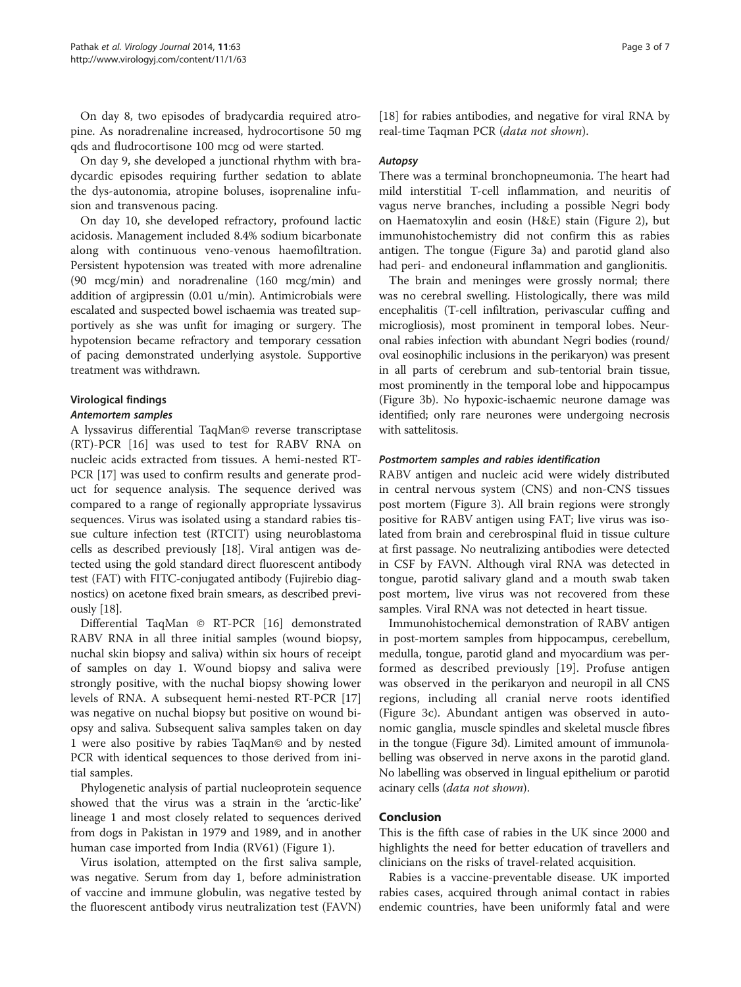On day 8, two episodes of bradycardia required atropine. As noradrenaline increased, hydrocortisone 50 mg qds and fludrocortisone 100 mcg od were started.

On day 9, she developed a junctional rhythm with bradycardic episodes requiring further sedation to ablate the dys-autonomia, atropine boluses, isoprenaline infusion and transvenous pacing.

On day 10, she developed refractory, profound lactic acidosis. Management included 8.4% sodium bicarbonate along with continuous veno-venous haemofiltration. Persistent hypotension was treated with more adrenaline (90 mcg/min) and noradrenaline (160 mcg/min) and addition of argipressin (0.01 u/min). Antimicrobials were escalated and suspected bowel ischaemia was treated supportively as she was unfit for imaging or surgery. The hypotension became refractory and temporary cessation of pacing demonstrated underlying asystole. Supportive treatment was withdrawn.

## Virological findings

## Antemortem samples

A lyssavirus differential TaqMan© reverse transcriptase (RT)-PCR [\[16](#page-6-0)] was used to test for RABV RNA on nucleic acids extracted from tissues. A hemi-nested RT-PCR [\[17\]](#page-6-0) was used to confirm results and generate product for sequence analysis. The sequence derived was compared to a range of regionally appropriate lyssavirus sequences. Virus was isolated using a standard rabies tissue culture infection test (RTCIT) using neuroblastoma cells as described previously [\[18\]](#page-6-0). Viral antigen was detected using the gold standard direct fluorescent antibody test (FAT) with FITC-conjugated antibody (Fujirebio diagnostics) on acetone fixed brain smears, as described previously [\[18\]](#page-6-0).

Differential TaqMan © RT-PCR [[16\]](#page-6-0) demonstrated RABV RNA in all three initial samples (wound biopsy, nuchal skin biopsy and saliva) within six hours of receipt of samples on day 1. Wound biopsy and saliva were strongly positive, with the nuchal biopsy showing lower levels of RNA. A subsequent hemi-nested RT-PCR [[17](#page-6-0)] was negative on nuchal biopsy but positive on wound biopsy and saliva. Subsequent saliva samples taken on day 1 were also positive by rabies TaqMan© and by nested PCR with identical sequences to those derived from initial samples.

Phylogenetic analysis of partial nucleoprotein sequence showed that the virus was a strain in the 'arctic-like' lineage 1 and most closely related to sequences derived from dogs in Pakistan in 1979 and 1989, and in another human case imported from India (RV61) (Figure [1\)](#page-3-0).

Virus isolation, attempted on the first saliva sample, was negative. Serum from day 1, before administration of vaccine and immune globulin, was negative tested by the fluorescent antibody virus neutralization test (FAVN)

[[18\]](#page-6-0) for rabies antibodies, and negative for viral RNA by real-time Taqman PCR (data not shown).

## Autopsy

There was a terminal bronchopneumonia. The heart had mild interstitial T-cell inflammation, and neuritis of vagus nerve branches, including a possible Negri body on Haematoxylin and eosin (H&E) stain (Figure [2\)](#page-3-0), but immunohistochemistry did not confirm this as rabies antigen. The tongue (Figure [3a](#page-4-0)) and parotid gland also had peri- and endoneural inflammation and ganglionitis.

The brain and meninges were grossly normal; there was no cerebral swelling. Histologically, there was mild encephalitis (T-cell infiltration, perivascular cuffing and microgliosis), most prominent in temporal lobes. Neuronal rabies infection with abundant Negri bodies (round/ oval eosinophilic inclusions in the perikaryon) was present in all parts of cerebrum and sub-tentorial brain tissue, most prominently in the temporal lobe and hippocampus (Figure [3](#page-4-0)b). No hypoxic-ischaemic neurone damage was identified; only rare neurones were undergoing necrosis with sattelitosis.

#### Postmortem samples and rabies identification

RABV antigen and nucleic acid were widely distributed in central nervous system (CNS) and non-CNS tissues post mortem (Figure [3\)](#page-4-0). All brain regions were strongly positive for RABV antigen using FAT; live virus was isolated from brain and cerebrospinal fluid in tissue culture at first passage. No neutralizing antibodies were detected in CSF by FAVN. Although viral RNA was detected in tongue, parotid salivary gland and a mouth swab taken post mortem, live virus was not recovered from these samples. Viral RNA was not detected in heart tissue.

Immunohistochemical demonstration of RABV antigen in post-mortem samples from hippocampus, cerebellum, medulla, tongue, parotid gland and myocardium was performed as described previously [\[19](#page-6-0)]. Profuse antigen was observed in the perikaryon and neuropil in all CNS regions, including all cranial nerve roots identified (Figure [3](#page-4-0)c). Abundant antigen was observed in autonomic ganglia, muscle spindles and skeletal muscle fibres in the tongue (Figure [3d](#page-4-0)). Limited amount of immunolabelling was observed in nerve axons in the parotid gland. No labelling was observed in lingual epithelium or parotid acinary cells (data not shown).

## Conclusion

This is the fifth case of rabies in the UK since 2000 and highlights the need for better education of travellers and clinicians on the risks of travel-related acquisition.

Rabies is a vaccine-preventable disease. UK imported rabies cases, acquired through animal contact in rabies endemic countries, have been uniformly fatal and were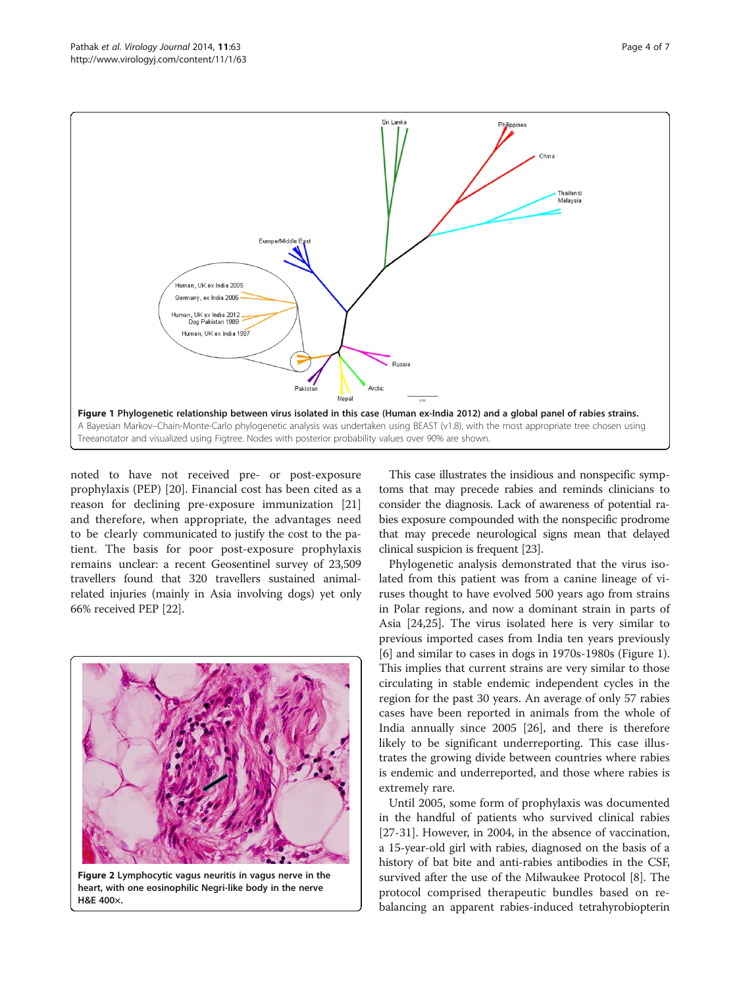<span id="page-3-0"></span>

noted to have not received pre- or post-exposure prophylaxis (PEP) [[20\]](#page-6-0). Financial cost has been cited as a reason for declining pre-exposure immunization [[21](#page-6-0)] and therefore, when appropriate, the advantages need to be clearly communicated to justify the cost to the patient. The basis for poor post-exposure prophylaxis remains unclear: a recent Geosentinel survey of 23,509 travellers found that 320 travellers sustained animalrelated injuries (mainly in Asia involving dogs) yet only 66% received PEP [\[22\]](#page-6-0).



Figure 2 Lymphocytic vagus neuritis in vagus nerve in the heart, with one eosinophilic Negri-like body in the nerve H&E 400×.

This case illustrates the insidious and nonspecific symptoms that may precede rabies and reminds clinicians to consider the diagnosis. Lack of awareness of potential rabies exposure compounded with the nonspecific prodrome that may precede neurological signs mean that delayed clinical suspicion is frequent [\[23\]](#page-6-0).

Phylogenetic analysis demonstrated that the virus isolated from this patient was from a canine lineage of viruses thought to have evolved 500 years ago from strains in Polar regions, and now a dominant strain in parts of Asia [\[24,25](#page-6-0)]. The virus isolated here is very similar to previous imported cases from India ten years previously [[6\]](#page-5-0) and similar to cases in dogs in 1970s-1980s (Figure 1). This implies that current strains are very similar to those circulating in stable endemic independent cycles in the region for the past 30 years. An average of only 57 rabies cases have been reported in animals from the whole of India annually since 2005 [[26\]](#page-6-0), and there is therefore likely to be significant underreporting. This case illustrates the growing divide between countries where rabies is endemic and underreported, and those where rabies is extremely rare.

Until 2005, some form of prophylaxis was documented in the handful of patients who survived clinical rabies [[27-31](#page-6-0)]. However, in 2004, in the absence of vaccination, a 15-year-old girl with rabies, diagnosed on the basis of a history of bat bite and anti-rabies antibodies in the CSF, survived after the use of the Milwaukee Protocol [\[8](#page-5-0)]. The protocol comprised therapeutic bundles based on rebalancing an apparent rabies-induced tetrahyrobiopterin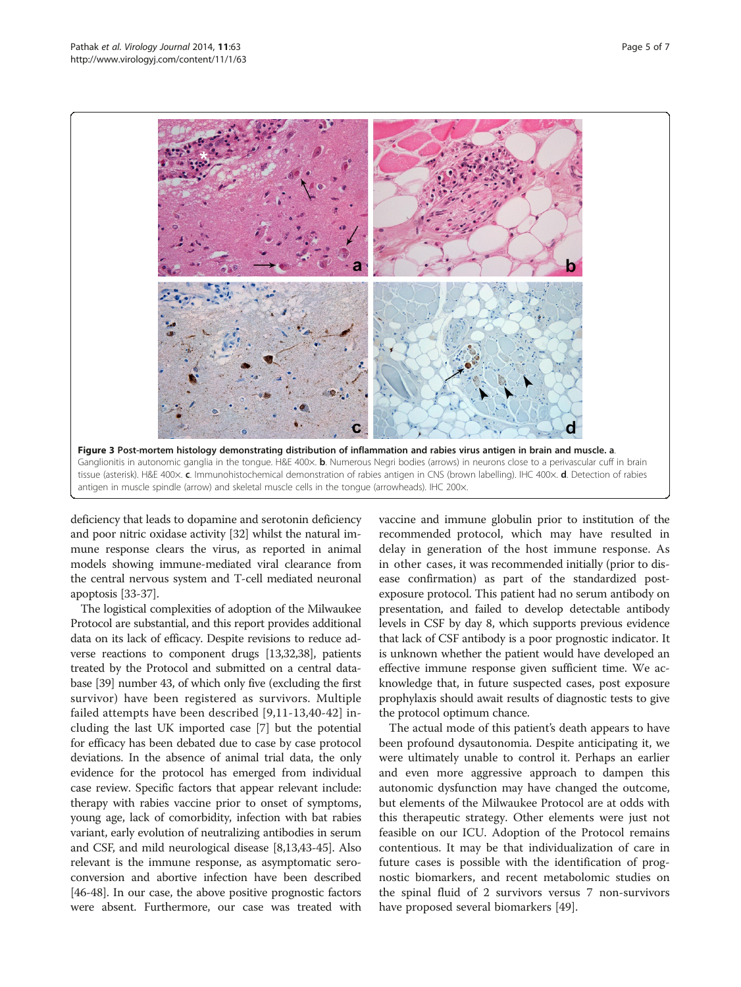<span id="page-4-0"></span>

deficiency that leads to dopamine and serotonin deficiency and poor nitric oxidase activity [\[32](#page-6-0)] whilst the natural immune response clears the virus, as reported in animal models showing immune-mediated viral clearance from the central nervous system and T-cell mediated neuronal apoptosis [\[33-37\]](#page-6-0).

The logistical complexities of adoption of the Milwaukee Protocol are substantial, and this report provides additional data on its lack of efficacy. Despite revisions to reduce adverse reactions to component drugs [\[13,32,38](#page-6-0)], patients treated by the Protocol and submitted on a central database [[39](#page-6-0)] number 43, of which only five (excluding the first survivor) have been registered as survivors. Multiple failed attempts have been described [\[9](#page-6-0),[11-13,40-42](#page-6-0)] including the last UK imported case [[7\]](#page-5-0) but the potential for efficacy has been debated due to case by case protocol deviations. In the absence of animal trial data, the only evidence for the protocol has emerged from individual case review. Specific factors that appear relevant include: therapy with rabies vaccine prior to onset of symptoms, young age, lack of comorbidity, infection with bat rabies variant, early evolution of neutralizing antibodies in serum and CSF, and mild neurological disease [[8](#page-5-0)[,13,43-45\]](#page-6-0). Also relevant is the immune response, as asymptomatic seroconversion and abortive infection have been described [[46](#page-6-0)-[48\]](#page-6-0). In our case, the above positive prognostic factors were absent. Furthermore, our case was treated with vaccine and immune globulin prior to institution of the recommended protocol, which may have resulted in delay in generation of the host immune response. As in other cases, it was recommended initially (prior to disease confirmation) as part of the standardized postexposure protocol. This patient had no serum antibody on presentation, and failed to develop detectable antibody levels in CSF by day 8, which supports previous evidence that lack of CSF antibody is a poor prognostic indicator. It is unknown whether the patient would have developed an effective immune response given sufficient time. We acknowledge that, in future suspected cases, post exposure prophylaxis should await results of diagnostic tests to give the protocol optimum chance.

The actual mode of this patient's death appears to have been profound dysautonomia. Despite anticipating it, we were ultimately unable to control it. Perhaps an earlier and even more aggressive approach to dampen this autonomic dysfunction may have changed the outcome, but elements of the Milwaukee Protocol are at odds with this therapeutic strategy. Other elements were just not feasible on our ICU. Adoption of the Protocol remains contentious. It may be that individualization of care in future cases is possible with the identification of prognostic biomarkers, and recent metabolomic studies on the spinal fluid of 2 survivors versus 7 non-survivors have proposed several biomarkers [[49](#page-6-0)].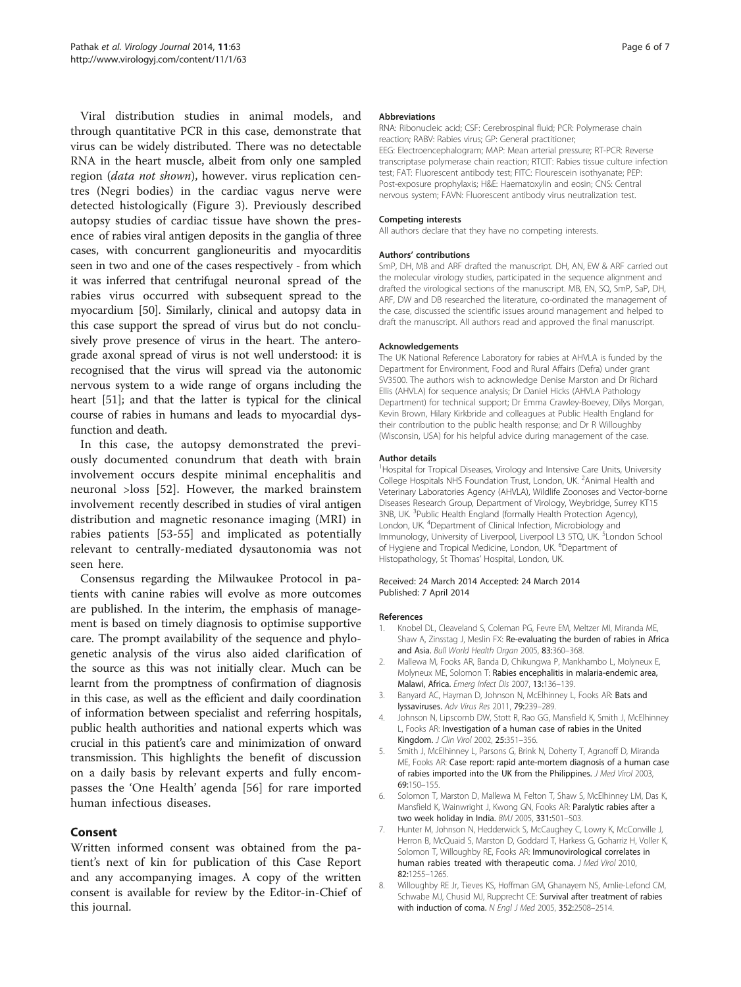<span id="page-5-0"></span>Viral distribution studies in animal models, and through quantitative PCR in this case, demonstrate that virus can be widely distributed. There was no detectable RNA in the heart muscle, albeit from only one sampled region (data not shown), however. virus replication centres (Negri bodies) in the cardiac vagus nerve were detected histologically (Figure [3\)](#page-4-0). Previously described autopsy studies of cardiac tissue have shown the presence of rabies viral antigen deposits in the ganglia of three cases, with concurrent ganglioneuritis and myocarditis seen in two and one of the cases respectively - from which it was inferred that centrifugal neuronal spread of the rabies virus occurred with subsequent spread to the myocardium [[50](#page-6-0)]. Similarly, clinical and autopsy data in this case support the spread of virus but do not conclusively prove presence of virus in the heart. The anterograde axonal spread of virus is not well understood: it is recognised that the virus will spread via the autonomic nervous system to a wide range of organs including the heart [\[51\]](#page-6-0); and that the latter is typical for the clinical course of rabies in humans and leads to myocardial dysfunction and death.

In this case, the autopsy demonstrated the previously documented conundrum that death with brain involvement occurs despite minimal encephalitis and neuronal >loss [[52\]](#page-6-0). However, the marked brainstem involvement recently described in studies of viral antigen distribution and magnetic resonance imaging (MRI) in rabies patients [\[53](#page-6-0)-[55\]](#page-6-0) and implicated as potentially relevant to centrally-mediated dysautonomia was not seen here.

Consensus regarding the Milwaukee Protocol in patients with canine rabies will evolve as more outcomes are published. In the interim, the emphasis of management is based on timely diagnosis to optimise supportive care. The prompt availability of the sequence and phylogenetic analysis of the virus also aided clarification of the source as this was not initially clear. Much can be learnt from the promptness of confirmation of diagnosis in this case, as well as the efficient and daily coordination of information between specialist and referring hospitals, public health authorities and national experts which was crucial in this patient's care and minimization of onward transmission. This highlights the benefit of discussion on a daily basis by relevant experts and fully encompasses the 'One Health' agenda [\[56](#page-6-0)] for rare imported human infectious diseases.

## Consent

Written informed consent was obtained from the patient's next of kin for publication of this Case Report and any accompanying images. A copy of the written consent is available for review by the Editor-in-Chief of this journal.

#### **Abbreviations**

RNA: Ribonucleic acid; CSF: Cerebrospinal fluid; PCR: Polymerase chain reaction; RABV: Rabies virus; GP: General practitioner; EEG: Electroencephalogram; MAP: Mean arterial pressure; RT-PCR: Reverse

transcriptase polymerase chain reaction; RTCIT: Rabies tissue culture infection test; FAT: Fluorescent antibody test; FITC: Flourescein isothyanate; PEP: Post-exposure prophylaxis; H&E: Haematoxylin and eosin; CNS: Central nervous system; FAVN: Fluorescent antibody virus neutralization test.

#### Competing interests

All authors declare that they have no competing interests.

#### Authors' contributions

SmP, DH, MB and ARF drafted the manuscript. DH, AN, EW & ARF carried out the molecular virology studies, participated in the sequence alignment and drafted the virological sections of the manuscript. MB, EN, SQ, SmP, SaP, DH, ARF, DW and DB researched the literature, co-ordinated the management of the case, discussed the scientific issues around management and helped to draft the manuscript. All authors read and approved the final manuscript.

#### Acknowledgements

The UK National Reference Laboratory for rabies at AHVLA is funded by the Department for Environment, Food and Rural Affairs (Defra) under grant SV3500. The authors wish to acknowledge Denise Marston and Dr Richard Ellis (AHVLA) for sequence analysis; Dr Daniel Hicks (AHVLA Pathology Department) for technical support; Dr Emma Crawley-Boevey, Dilys Morgan, Kevin Brown, Hilary Kirkbride and colleagues at Public Health England for their contribution to the public health response; and Dr R Willoughby (Wisconsin, USA) for his helpful advice during management of the case.

#### Author details

<sup>1</sup> Hospital for Tropical Diseases, Virology and Intensive Care Units, University College Hospitals NHS Foundation Trust, London, UK. <sup>2</sup>Animal Health and Veterinary Laboratories Agency (AHVLA), Wildlife Zoonoses and Vector-borne Diseases Research Group, Department of Virology, Weybridge, Surrey KT15 3NB, UK. <sup>3</sup>Public Health England (formally Health Protection Agency) London, UK. <sup>4</sup>Department of Clinical Infection, Microbiology and Immunology, University of Liverpool, Liverpool L3 5TQ, UK. <sup>5</sup>London School of Hygiene and Tropical Medicine, London, UK. <sup>6</sup>Department of Histopathology, St Thomas' Hospital, London, UK.

#### Received: 24 March 2014 Accepted: 24 March 2014 Published: 7 April 2014

#### References

- 1. Knobel DL, Cleaveland S, Coleman PG, Fevre EM, Meltzer MI, Miranda ME, Shaw A, Zinsstag J, Meslin FX: Re-evaluating the burden of rabies in Africa and Asia. Bull World Health Organ 2005, 83:360–368.
- 2. Mallewa M, Fooks AR, Banda D, Chikungwa P, Mankhambo L, Molyneux E, Molyneux ME, Solomon T: Rabies encephalitis in malaria-endemic area, Malawi, Africa. Emerg Infect Dis 2007, 13:136–139.
- 3. Banyard AC, Hayman D, Johnson N, McElhinney L, Fooks AR: Bats and lyssaviruses. Adv Virus Res 2011, 79:239–289.
- 4. Johnson N, Lipscomb DW, Stott R, Rao GG, Mansfield K, Smith J, McElhinney L, Fooks AR: Investigation of a human case of rabies in the United Kingdom. J Clin Virol 2002, 25:351–356.
- 5. Smith J, McElhinney L, Parsons G, Brink N, Doherty T, Agranoff D, Miranda ME, Fooks AR: Case report: rapid ante-mortem diagnosis of a human case of rabies imported into the UK from the Philippines. J Med Virol 2003, 69:150–155.
- 6. Solomon T, Marston D, Mallewa M, Felton T, Shaw S, McElhinney LM, Das K, Mansfield K, Wainwright J, Kwong GN, Fooks AR: Paralytic rabies after a two week holiday in India. BMJ 2005, 331:501–503.
- 7. Hunter M, Johnson N, Hedderwick S, McCaughey C, Lowry K, McConville J, Herron B, McQuaid S, Marston D, Goddard T, Harkess G, Goharriz H, Voller K, Solomon T, Willoughby RE, Fooks AR: Immunovirological correlates in human rabies treated with therapeutic coma. J Med Virol 2010, 82:1255–1265.
- 8. Willoughby RE Jr, Tieves KS, Hoffman GM, Ghanayem NS, Amlie-Lefond CM, Schwabe MJ, Chusid MJ, Rupprecht CE: Survival after treatment of rabies with induction of coma. N Engl J Med 2005, 352:2508–2514.